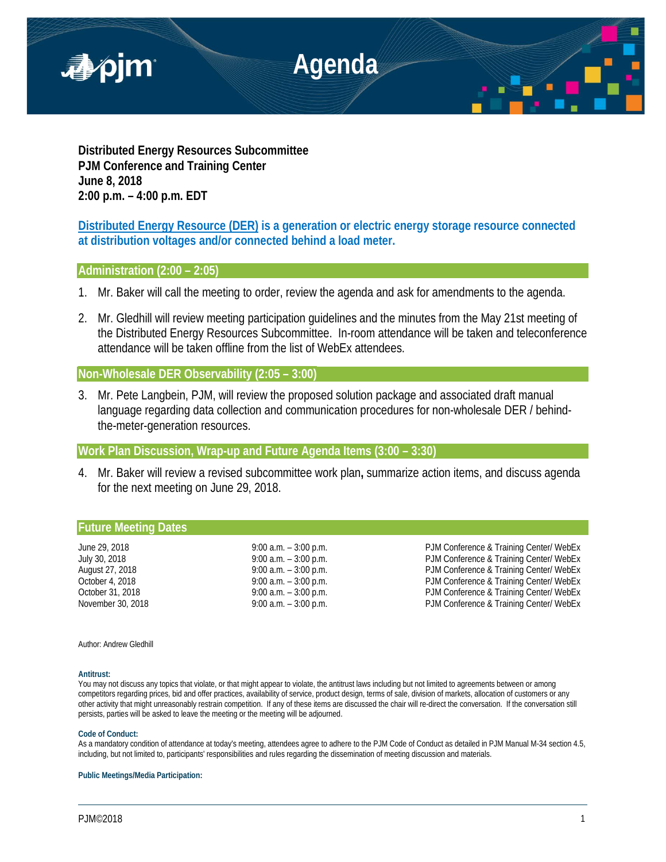

**Distributed Energy Resources Subcommittee PJM Conference and Training Center June 8, 2018 2:00 p.m. – 4:00 p.m. EDT**

**Distributed Energy Resource (DER) is a generation or electric energy storage resource connected at distribution voltages and/or connected behind a load meter.**

## **Administration (2:00 – 2:05)**

- 1. Mr. Baker will call the meeting to order, review the agenda and ask for amendments to the agenda.
- 2. Mr. Gledhill will review meeting participation guidelines and the minutes from the May 21st meeting of the Distributed Energy Resources Subcommittee. In-room attendance will be taken and teleconference attendance will be taken offline from the list of WebEx attendees.

# **Non-Wholesale DER Observability (2:05 – 3:00)**

3. Mr. Pete Langbein, PJM, will review the proposed solution package and associated draft manual language regarding data collection and communication procedures for non-wholesale DER / behindthe-meter-generation resources.

## **Work Plan Discussion, Wrap-up and Future Agenda Items (3:00 – 3:30)**

4. Mr. Baker will review a revised subcommittee work plan**,** summarize action items, and discuss agenda for the next meeting on June 29, 2018.

## **Future Meeting Dates**

June 29, 2018 9:00 a.m. – 3:00 p.m. PJM Conference & Training Center/ WebEx July 30, 2018 9:00 a.m. – 3:00 p.m. PJM Conference & Training Center/ WebEx August 27, 2018 **19:00 a.m.** – 3:00 p.m. **PJM Conference & Training Center/ WebEx**<br>
9:00 a.m. – 3:00 p.m. PJM Conference & Training Center/ WebEx PJM Conference & Training Center/ WebEx October 31, 2018 9:00 a.m. – 3:00 p.m. PJM Conference & Training Center/ WebEx November 30, 2018 **19:00 a.m.** – 3:00 p.m. **PJM Conference & Training Center/ WebEx** 

Author: Andrew Gledhill

#### **Antitrust:**

You may not discuss any topics that violate, or that might appear to violate, the antitrust laws including but not limited to agreements between or among competitors regarding prices, bid and offer practices, availability of service, product design, terms of sale, division of markets, allocation of customers or any other activity that might unreasonably restrain competition. If any of these items are discussed the chair will re-direct the conversation. If the conversation still persists, parties will be asked to leave the meeting or the meeting will be adjourned.

#### **Code of Conduct:**

As a mandatory condition of attendance at today's meeting, attendees agree to adhere to the PJM Code of Conduct as detailed in PJM Manual M-34 section 4.5, including, but not limited to, participants' responsibilities and rules regarding the dissemination of meeting discussion and materials.

**Public Meetings/Media Participation:**